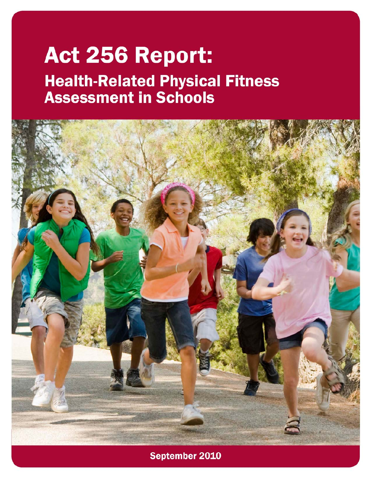# **Act 256 Report: Health-Related Physical Fitness Assessment in Schools**



September 2010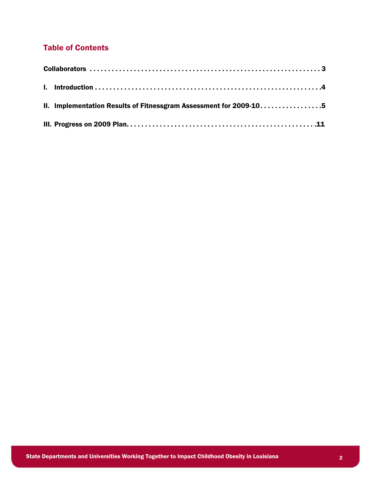# Table of Contents

|  | II. Implementation Results of Fitnessgram Assessment for 2009-105 |
|--|-------------------------------------------------------------------|
|  |                                                                   |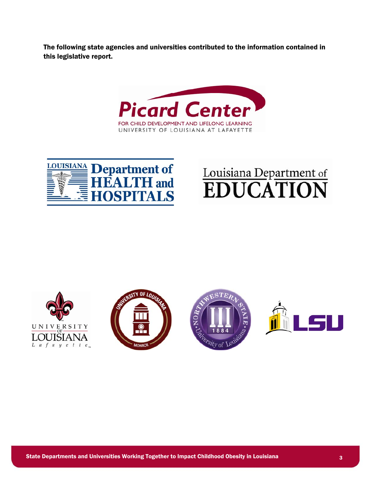The following state agencies and universities contributed to the information contained in this legislative report.





# Louisiana Department of<br>EDUCATION

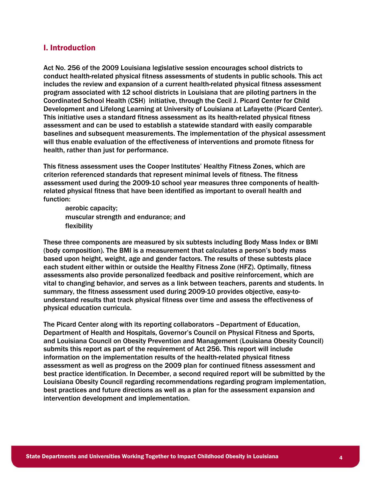## I. Introduction

Act No. 256 of the 2009 Louisiana legislative session encourages school districts to conduct health-related physical fitness assessments of students in public schools. This act includes the review and expansion of a current health-related physical fitness assessment program associated with 12 school districts in Louisiana that are piloting partners in the Coordinated School Health (CSH) initiative, through the Cecil J. Picard Center for Child Development and Lifelong Learning at University of Louisiana at Lafayette (Picard Center). This initiative uses a standard fitness assessment as its health-related physical fitness assessment and can be used to establish a statewide standard with easily comparable baselines and subsequent measurements. The implementation of the physical assessment will thus enable evaluation of the effectiveness of interventions and promote fitness for health, rather than just for performance.

This fitness assessment uses the Cooper Institutes' Healthy Fitness Zones, which are criterion referenced standards that represent minimal levels of fitness. The fitness assessment used during the 2009-10 school year measures three components of healthrelated physical fitness that have been identified as important to overall health and function:

aerobic capacity; muscular strength and endurance; and flexibility

These three components are measured by six subtests including Body Mass Index or BMI (body composition). The BMI is a measurement that calculates a person's body mass based upon height, weight, age and gender factors. The results of these subtests place each student either within or outside the Healthy Fitness Zone (HFZ). Optimally, fitness assessments also provide personalized feedback and positive reinforcement, which are vital to changing behavior, and serves as a link between teachers, parents and students. In summary, the fitness assessment used during 2009-10 provides objective, easy-tounderstand results that track physical fitness over time and assess the effectiveness of physical education curricula.

The Picard Center along with its reporting collaborators –Department of Education, Department of Health and Hospitals, Governor's Council on Physical Fitness and Sports, and Louisiana Council on Obesity Prevention and Management (Louisiana Obesity Council) submits this report as part of the requirement of Act 256. This report will include information on the implementation results of the health-related physical fitness assessment as well as progress on the 2009 plan for continued fitness assessment and best practice identification. In December, a second required report will be submitted by the Louisiana Obesity Council regarding recommendations regarding program implementation, best practices and future directions as well as a plan for the assessment expansion and intervention development and implementation.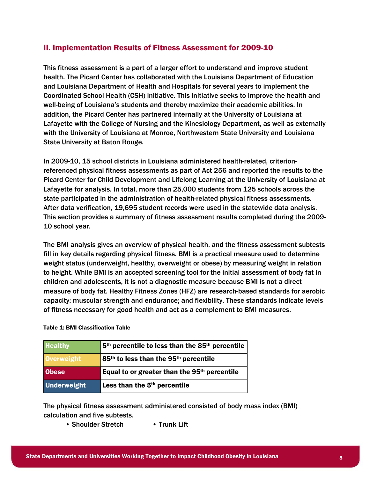# II. Implementation Results of Fitness Assessment for 2009-10

This fitness assessment is a part of a larger effort to understand and improve student health. The Picard Center has collaborated with the Louisiana Department of Education and Louisiana Department of Health and Hospitals for several years to implement the Coordinated School Health (CSH) initiative. This initiative seeks to improve the health and well-being of Louisiana's students and thereby maximize their academic abilities. In addition, the Picard Center has partnered internally at the University of Louisiana at Lafayette with the College of Nursing and the Kinesiology Department, as well as externally with the University of Louisiana at Monroe, Northwestern State University and Louisiana State University at Baton Rouge.

In 2009-10, 15 school districts in Louisiana administered health-related, criterionreferenced physical fitness assessments as part of Act 256 and reported the results to the Picard Center for Child Development and Lifelong Learning at the University of Louisiana at Lafayette for analysis. In total, more than 25,000 students from 125 schools across the state participated in the administration of health-related physical fitness assessments. After data verification, 19,695 student records were used in the statewide data analysis. This section provides a summary of fitness assessment results completed during the 2009- 10 school year.

The BMI analysis gives an overview of physical health, and the fitness assessment subtests fill in key details regarding physical fitness. BMI is a practical measure used to determine weight status (underweight, healthy, overweight or obese) by measuring weight in relation to height. While BMI is an accepted screening tool for the initial assessment of body fat in children and adolescents, it is not a diagnostic measure because BMI is not a direct measure of body fat. Healthy Fitness Zones (HFZ) are research-based standards for aerobic capacity; muscular strength and endurance; and flexibility. These standards indicate levels of fitness necessary for good health and act as a complement to BMI measures.

| <b>Healthy</b>     | 5 <sup>th</sup> percentile to less than the 85 <sup>th</sup> percentile |
|--------------------|-------------------------------------------------------------------------|
| Overweight         | 85th to less than the 95th percentile                                   |
| <b>Obese</b>       | Equal to or greater than the 95 <sup>th</sup> percentile                |
| <b>Underweight</b> | Less than the 5 <sup>th</sup> percentile                                |

#### Table 1: BMI Classification Table

The physical fitness assessment administered consisted of body mass index (BMI) calculation and five subtests.

• Shoulder Stretch • Trunk Lift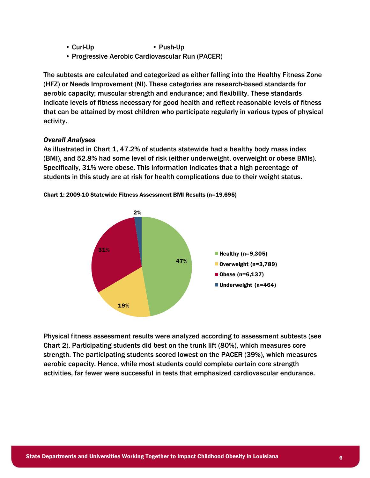- Curl-Up Push-Up
- Progressive Aerobic Cardiovascular Run (PACER)

The subtests are calculated and categorized as either falling into the Healthy Fitness Zone (HFZ) or Needs Improvement (NI). These categories are research-based standards for aerobic capacity; muscular strength and endurance; and flexibility. These standards indicate levels of fitness necessary for good health and reflect reasonable levels of fitness that can be attained by most children who participate regularly in various types of physical activity.

### *Overall Analyses*

As illustrated in Chart 1, 47.2% of students statewide had a healthy body mass index (BMI), and 52.8% had some level of risk (either underweight, overweight or obese BMIs). Specifically, 31% were obese. This information indicates that a high percentage of students in this study are at risk for health complications due to their weight status.



Chart 1: 2009-10 Statewide Fitness Assessment BMI Results (n=19,695)

Physical fitness assessment results were analyzed according to assessment subtests (see Chart 2). Participating students did best on the trunk lift (80%), which measures core strength. The participating students scored lowest on the PACER (39%), which measures aerobic capacity. Hence, while most students could complete certain core strength activities, far fewer were successful in tests that emphasized cardiovascular endurance.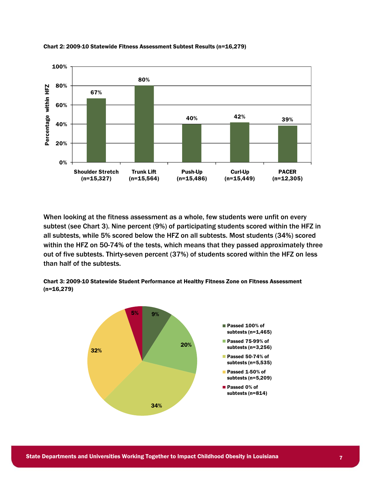

Chart 2: 2009-10 Statewide Fitness Assessment Subtest Results (n=16,279)

When looking at the fitness assessment as a whole, few students were unfit on every subtest (see Chart 3). Nine percent (9%) of participating students scored within the HFZ in all subtests, while 5% scored below the HFZ on all subtests. Most students (34%) scored within the HFZ on 50-74% of the tests, which means that they passed approximately three out of five subtests. Thirty-seven percent (37%) of students scored within the HFZ on less than half of the subtests.



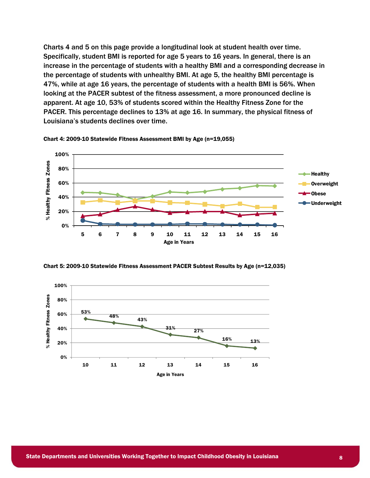Charts 4 and 5 on this page provide a longitudinal look at student health over time. Specifically, student BMI is reported for age 5 years to 16 years. In general, there is an increase in the percentage of students with a healthy BMI and a corresponding decrease in the percentage of students with unhealthy BMI. At age 5, the healthy BMI percentage is 47%, while at age 16 years, the percentage of students with a health BMI is 56%. When looking at the PACER subtest of the fitness assessment, a more pronounced decline is apparent. At age 10, 53% of students scored within the Healthy Fitness Zone for the PACER. This percentage declines to 13% at age 16. In summary, the physical fitness of Louisiana's students declines over time.



Chart 4: 2009-10 Statewide Fitness Assessment BMI by Age (n=19,055)



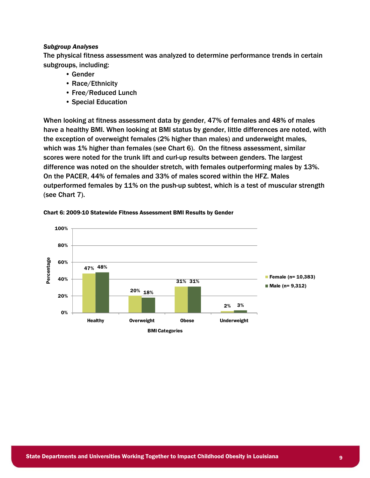#### *Subgroup Analyses*

The physical fitness assessment was analyzed to determine performance trends in certain subgroups, including:

- Gender
- Race/Ethnicity
- Free/Reduced Lunch
- Special Education

When looking at fitness assessment data by gender, 47% of females and 48% of males have a healthy BMI. When looking at BMI status by gender, little differences are noted, with the exception of overweight females (2% higher than males) and underweight males, which was 1% higher than females (see Chart 6). On the fitness assessment, similar scores were noted for the trunk lift and curl-up results between genders. The largest difference was noted on the shoulder stretch, with females outperforming males by 13%. On the PACER, 44% of females and 33% of males scored within the HFZ. Males outperformed females by 11% on the push-up subtest, which is a test of muscular strength (see Chart 7).



#### Chart 6: 2009-10 Statewide Fitness Assessment BMI Results by Gender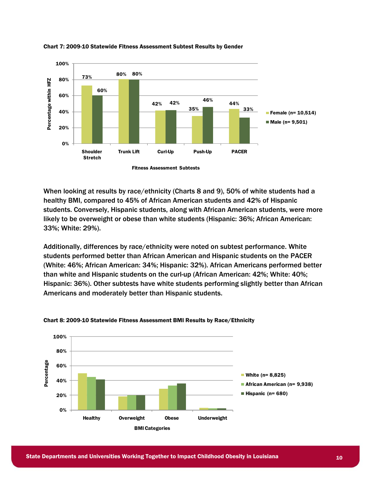

Chart 7: 2009-10 Statewide Fitness Assessment Subtest Results by Gender

When looking at results by race/ethnicity (Charts 8 and 9), 50% of white students had a healthy BMI, compared to 45% of African American students and 42% of Hispanic students. Conversely, Hispanic students, along with African American students, were more likely to be overweight or obese than white students (Hispanic: 36%; African American: 33%; White: 29%).

Additionally, differences by race/ethnicity were noted on subtest performance. White students performed better than African American and Hispanic students on the PACER (White: 46%; African American: 34%; Hispanic: 32%). African Americans performed better than white and Hispanic students on the curl-up (African American: 42%; White: 40%; Hispanic: 36%). Other subtests have white students performing slightly better than African Americans and moderately better than Hispanic students.



#### Chart 8: 2009-10 Statewide Fitness Assessment BMI Results by Race/Ethnicity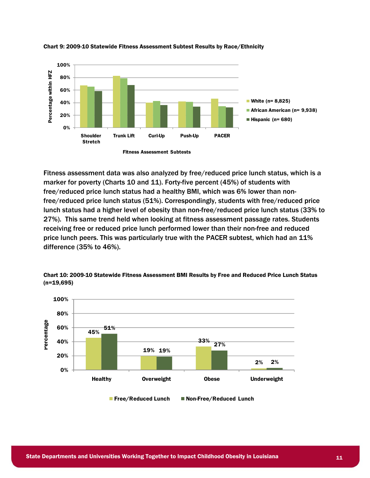

#### Chart 9: 2009-10 Statewide Fitness Assessment Subtest Results by Race/Ethnicity

Fitness assessment data was also analyzed by free/reduced price lunch status, which is a marker for poverty (Charts 10 and 11). Forty-five percent (45%) of students with free/reduced price lunch status had a healthy BMI, which was 6% lower than nonfree/reduced price lunch status (51%). Correspondingly, students with free/reduced price lunch status had a higher level of obesity than non-free/reduced price lunch status (33% to 27%). This same trend held when looking at fitness assessment passage rates. Students receiving free or reduced price lunch performed lower than their non-free and reduced price lunch peers. This was particularly true with the PACER subtest, which had an 11% difference (35% to 46%).



Chart 10: 2009-10 Statewide Fitness Assessment BMI Results by Free and Reduced Price Lunch Status (n=19,695)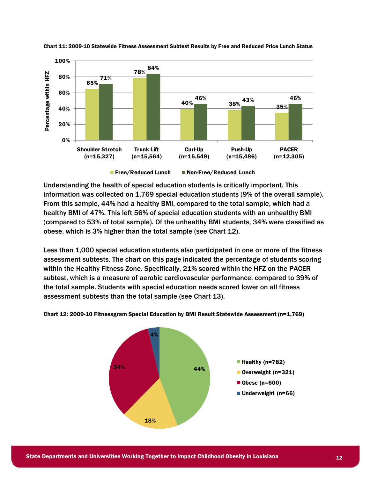

Chart 11: 2009-10 Statewide Fitness Assessment Subtest Results by Free and Reduced Price Lunch Status



Understanding the health of special education students is critically important. This information was collected on 1,769 special education students (9% of the overall sample). From this sample, 44% had a healthy BMI, compared to the total sample, which had a healthy BMI of 47%. This left 56% of special education students with an unhealthy BMI (compared to 53% of total sample). Of the unhealthy BMI students, 34% were classified as obese, which is 3% higher than the total sample (see Chart 12).

Less than 1,000 special education students also participated in one or more of the fitness assessment subtests. The chart on this page indicated the percentage of students scoring within the Healthy Fitness Zone. Specifically, 21% scored within the HFZ on the PACER subtest, which is a measure of aerobic cardiovascular performance, compared to 39% of the total sample. Students with special education needs scored lower on all fitness assessment subtests than the total sample (see Chart 13).



Chart 12: 2009-10 Fitnessgram Special Education by BMI Result Statewide Assessment (n=1,769)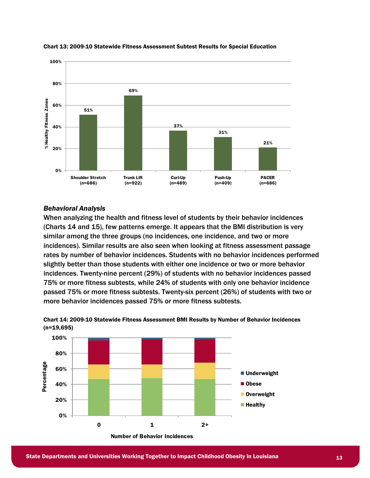

#### Chart 13: 2009-10 Statewide Fitness Assessment Subtest Results for Special Education

#### *Behavioral Analysis*

When analyzing the health and fitness level of students by their behavior incidences (Charts 14 and 15), few patterns emerge. It appears that the BMI distribution is very similar among the three groups (no incidences, one incidence, and two or more incidences). Similar results are also seen when looking at fitness assessment passage rates by number of behavior incidences. Students with no behavior incidences performed slightly better than those students with either one incidence or two or more behavior incidences. Twenty-nine percent (29%) of students with no behavior incidences passed 75% or more fitness subtests, while 24% of students with only one behavior incidence passed 75% or more fitness subtests. Twenty-six percent (26%) of students with two or more behavior incidences passed 75% or more fitness subtests.



Chart 14: 2009-10 Statewide Fitness Assessment BMI Results by Number of Behavior Incidences (n=19,695)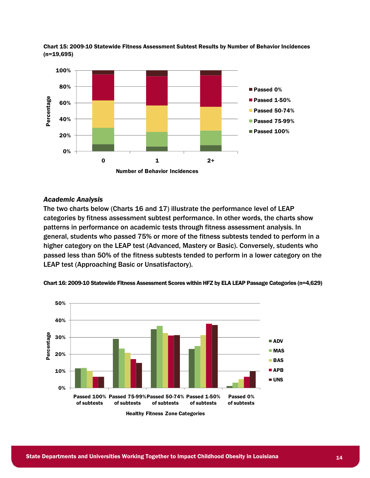

Chart 15: 2009-10 Statewide Fitness Assessment Subtest Results by Number of Behavior Incidences (n=19,695)

#### *Academic Analysis*

The two charts below (Charts 16 and 17) illustrate the performance level of LEAP categories by fitness assessment subtest performance. In other words, the charts show patterns in performance on academic tests through fitness assessment analysis. In general, students who passed 75% or more of the fitness subtests tended to perform in a higher category on the LEAP test (Advanced, Mastery or Basic). Conversely, students who passed less than 50% of the fitness subtests tended to perform in a lower category on the LEAP test (Approaching Basic or Unsatisfactory).



Chart 16: 2009-10 Statewide Fitness Assessment Scores within HFZ by ELA LEAP Passage Categories (n=4,629)

Healthy Fitness Zone Categories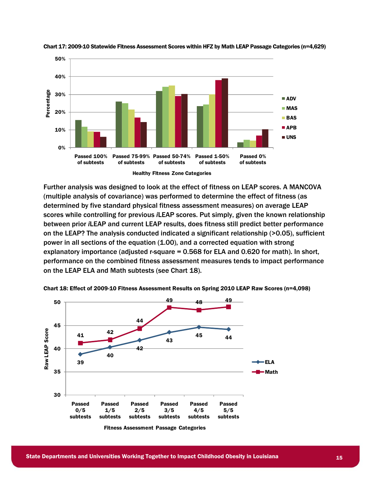





Further analysis was designed to look at the effect of fitness on LEAP scores. A MANCOVA (multiple analysis of covariance) was performed to determine the effect of fitness (as determined by five standard physical fitness assessment measures) on average LEAP scores while controlling for previous *i*LEAP scores. Put simply, given the known relationship between prior *i*LEAP and current LEAP results, does fitness still predict better performance on the LEAP? The analysis conducted indicated a significant relationship (>0.05), sufficient power in all sections of the equation (1.00), and a corrected equation with strong explanatory importance (adjusted r-square = 0.568 for ELA and 0.620 for math). In short, performance on the combined fitness assessment measures tends to impact performance on the LEAP ELA and Math subtests (see Chart 18).



Chart 18: Effect of 2009-10 Fitness Assessment Results on Spring 2010 LEAP Raw Scores (n=4,098)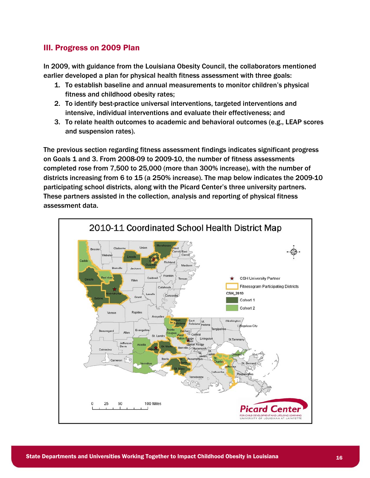# III. Progress on 2009 Plan

In 2009, with guidance from the Louisiana Obesity Council, the collaborators mentioned earlier developed a plan for physical health fitness assessment with three goals:

- 1. To establish baseline and annual measurements to monitor children's physical fitness and childhood obesity rates;
- 2. To identify best-practice universal interventions, targeted interventions and intensive, individual interventions and evaluate their effectiveness; and
- 3. To relate health outcomes to academic and behavioral outcomes (e.g., LEAP scores and suspension rates).

The previous section regarding fitness assessment findings indicates significant progress on Goals 1 and 3. From 2008-09 to 2009-10, the number of fitness assessments completed rose from 7,500 to 25,000 (more than 300% increase), with the number of districts increasing from 6 to 15 (a 250% increase). The map below indicates the 2009-10 participating school districts, along with the Picard Center's three university partners. These partners assisted in the collection, analysis and reporting of physical fitness assessment data.

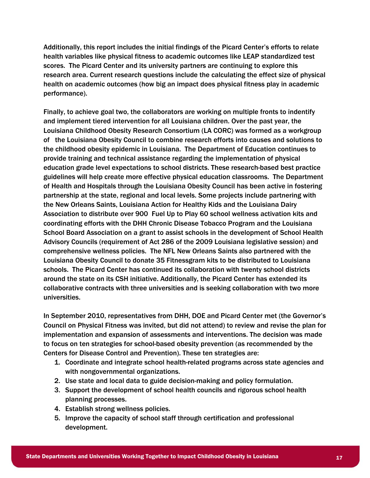Additionally, this report includes the initial findings of the Picard Center's efforts to relate health variables like physical fitness to academic outcomes like LEAP standardized test scores. The Picard Center and its university partners are continuing to explore this research area. Current research questions include the calculating the effect size of physical health on academic outcomes (how big an impact does physical fitness play in academic performance).

Finally, to achieve goal two, the collaborators are working on multiple fronts to indentify and implement tiered intervention for all Louisiana children. Over the past year, the Louisiana Childhood Obesity Research Consortium (LA CORC) was formed as a workgroup of the Louisiana Obesity Council to combine research efforts into causes and solutions to the childhood obesity epidemic in Louisiana. The Department of Education continues to provide training and technical assistance regarding the implementation of physical education grade level expectations to school districts. These research-based best practice guidelines will help create more effective physical education classrooms. The Department of Health and Hospitals through the Louisiana Obesity Council has been active in fostering partnership at the state, regional and local levels. Some projects include partnering with the New Orleans Saints, Louisiana Action for Healthy Kids and the Louisiana Dairy Association to distribute over 900 Fuel Up to Play 60 school wellness activation kits and coordinating efforts with the DHH Chronic Disease Tobacco Program and the Louisiana School Board Association on a grant to assist schools in the development of School Health Advisory Councils (requirement of Act 286 of the 2009 Louisiana legislative session) and comprehensive wellness policies. The NFL New Orleans Saints also partnered with the Louisiana Obesity Council to donate 35 Fitnessgram kits to be distributed to Louisiana schools. The Picard Center has continued its collaboration with twenty school districts around the state on its CSH initiative. Additionally, the Picard Center has extended its collaborative contracts with three universities and is seeking collaboration with two more universities.

In September 2010, representatives from DHH, DOE and Picard Center met (the Governor's Council on Physical Fitness was invited, but did not attend) to review and revise the plan for implementation and expansion of assessments and interventions. The decision was made to focus on ten strategies for school-based obesity prevention (as recommended by the Centers for Disease Control and Prevention). These ten strategies are:

- 1. Coordinate and integrate school health-related programs across state agencies and with nongovernmental organizations.
- 2. Use state and local data to guide decision-making and policy formulation.
- 3. Support the development of school health councils and rigorous school health planning processes.
- 4. Establish strong wellness policies.
- 5. Improve the capacity of school staff through certification and professional development.